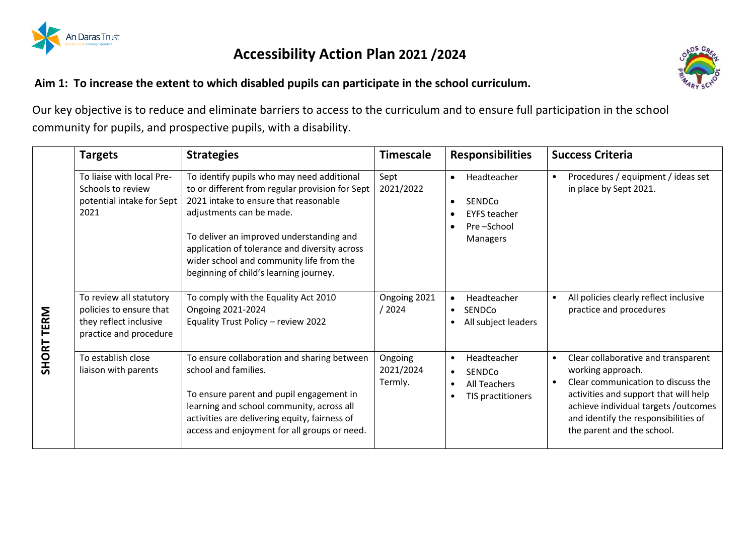

## **Accessibility Action Plan 2021 /2024**

**Aim 1: To increase the extent to which disabled pupils can participate in the school curriculum.** 



Our key objective is to reduce and eliminate barriers to access to the curriculum and to ensure full participation in the school community for pupils, and prospective pupils, with a disability.

|            | <b>Targets</b>                                                                                         | <b>Strategies</b>                                                                                                                                                                                                                                                                                                                                     | <b>Timescale</b>                | <b>Responsibilities</b>                                                                                                      | <b>Success Criteria</b>                                                                                                                                                                                                                                                         |
|------------|--------------------------------------------------------------------------------------------------------|-------------------------------------------------------------------------------------------------------------------------------------------------------------------------------------------------------------------------------------------------------------------------------------------------------------------------------------------------------|---------------------------------|------------------------------------------------------------------------------------------------------------------------------|---------------------------------------------------------------------------------------------------------------------------------------------------------------------------------------------------------------------------------------------------------------------------------|
|            | To liaise with local Pre-<br>Schools to review<br>potential intake for Sept<br>2021                    | To identify pupils who may need additional<br>to or different from regular provision for Sept<br>2021 intake to ensure that reasonable<br>adjustments can be made.<br>To deliver an improved understanding and<br>application of tolerance and diversity across<br>wider school and community life from the<br>beginning of child's learning journey. | Sept<br>2021/2022               | Headteacher<br>$\bullet$<br>SENDCo<br>$\bullet$<br><b>EYFS teacher</b><br>Pre-School<br>Managers                             | Procedures / equipment / ideas set<br>$\bullet$<br>in place by Sept 2021.                                                                                                                                                                                                       |
| SHORT TERM | To review all statutory<br>policies to ensure that<br>they reflect inclusive<br>practice and procedure | To comply with the Equality Act 2010<br>Ongoing 2021-2024<br>Equality Trust Policy - review 2022                                                                                                                                                                                                                                                      | Ongoing 2021<br>/ 2024          | Headteacher<br>$\bullet$<br><b>SENDCo</b><br>$\bullet$<br>All subject leaders                                                | All policies clearly reflect inclusive<br>$\bullet$<br>practice and procedures                                                                                                                                                                                                  |
|            | To establish close<br>liaison with parents                                                             | To ensure collaboration and sharing between<br>school and families.<br>To ensure parent and pupil engagement in<br>learning and school community, across all<br>activities are delivering equity, fairness of<br>access and enjoyment for all groups or need.                                                                                         | Ongoing<br>2021/2024<br>Termly. | Headteacher<br>$\bullet$<br><b>SENDCo</b><br>$\bullet$<br><b>All Teachers</b><br>$\bullet$<br>TIS practitioners<br>$\bullet$ | Clear collaborative and transparent<br>$\bullet$<br>working approach.<br>Clear communication to discuss the<br>$\bullet$<br>activities and support that will help<br>achieve individual targets /outcomes<br>and identify the responsibilities of<br>the parent and the school. |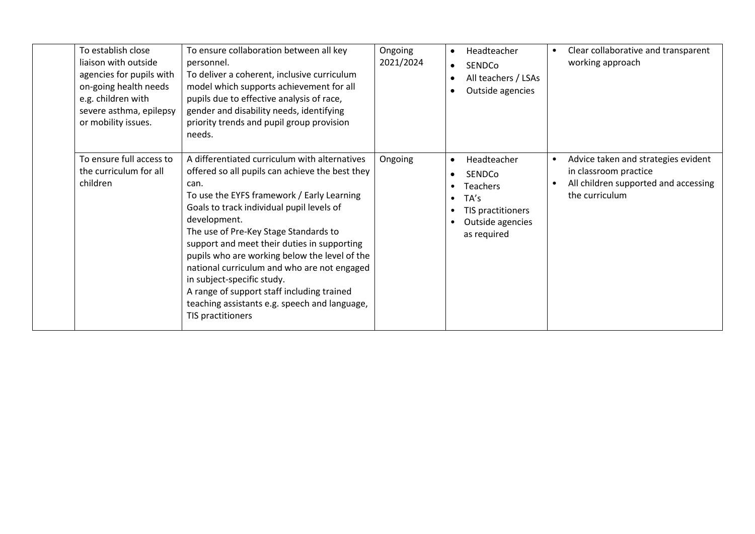| To establish close<br>liaison with outside<br>agencies for pupils with<br>on-going health needs<br>e.g. children with<br>severe asthma, epilepsy<br>or mobility issues. | To ensure collaboration between all key<br>personnel.<br>To deliver a coherent, inclusive curriculum<br>model which supports achievement for all<br>pupils due to effective analysis of race,<br>gender and disability needs, identifying<br>priority trends and pupil group provision<br>needs.                                                                                                                                                                                                                                                              | Ongoing<br>2021/2024 | $\bullet$<br>$\bullet$<br>$\bullet$ | Headteacher<br>SENDCo<br>All teachers / LSAs<br>Outside agencies                                         | $\bullet$ | Clear collaborative and transparent<br>working approach                                                                |
|-------------------------------------------------------------------------------------------------------------------------------------------------------------------------|---------------------------------------------------------------------------------------------------------------------------------------------------------------------------------------------------------------------------------------------------------------------------------------------------------------------------------------------------------------------------------------------------------------------------------------------------------------------------------------------------------------------------------------------------------------|----------------------|-------------------------------------|----------------------------------------------------------------------------------------------------------|-----------|------------------------------------------------------------------------------------------------------------------------|
| To ensure full access to<br>the curriculum for all<br>children                                                                                                          | A differentiated curriculum with alternatives<br>offered so all pupils can achieve the best they<br>can.<br>To use the EYFS framework / Early Learning<br>Goals to track individual pupil levels of<br>development.<br>The use of Pre-Key Stage Standards to<br>support and meet their duties in supporting<br>pupils who are working below the level of the<br>national curriculum and who are not engaged<br>in subject-specific study.<br>A range of support staff including trained<br>teaching assistants e.g. speech and language,<br>TIS practitioners | Ongoing              | $\bullet$<br>$\bullet$              | Headteacher<br>SENDCo<br><b>Teachers</b><br>TA's<br>TIS practitioners<br>Outside agencies<br>as required | $\bullet$ | Advice taken and strategies evident<br>in classroom practice<br>All children supported and accessing<br>the curriculum |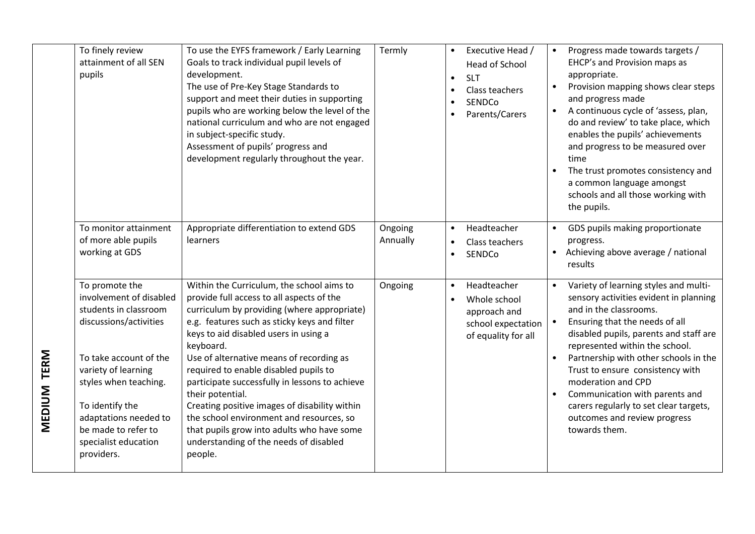|             | To finely review<br>attainment of all SEN<br>pupils                                                                                                                                                                                                                             | To use the EYFS framework / Early Learning<br>Goals to track individual pupil levels of<br>development.<br>The use of Pre-Key Stage Standards to<br>support and meet their duties in supporting<br>pupils who are working below the level of the<br>national curriculum and who are not engaged<br>in subject-specific study.<br>Assessment of pupils' progress and<br>development regularly throughout the year.                                                                                                                                                                                      | Termly              | Executive Head /<br>$\bullet$<br>Head of School<br><b>SLT</b><br>$\bullet$<br>Class teachers<br>$\bullet$<br>SENDCo<br>$\bullet$<br>Parents/Carers<br>$\bullet$ | Progress made towards targets /<br>$\bullet$<br>EHCP's and Provision maps as<br>appropriate.<br>Provision mapping shows clear steps<br>$\bullet$<br>and progress made<br>A continuous cycle of 'assess, plan,<br>$\bullet$<br>do and review' to take place, which<br>enables the pupils' achievements<br>and progress to be measured over<br>time<br>The trust promotes consistency and<br>$\bullet$<br>a common language amongst<br>schools and all those working with<br>the pupils. |
|-------------|---------------------------------------------------------------------------------------------------------------------------------------------------------------------------------------------------------------------------------------------------------------------------------|--------------------------------------------------------------------------------------------------------------------------------------------------------------------------------------------------------------------------------------------------------------------------------------------------------------------------------------------------------------------------------------------------------------------------------------------------------------------------------------------------------------------------------------------------------------------------------------------------------|---------------------|-----------------------------------------------------------------------------------------------------------------------------------------------------------------|----------------------------------------------------------------------------------------------------------------------------------------------------------------------------------------------------------------------------------------------------------------------------------------------------------------------------------------------------------------------------------------------------------------------------------------------------------------------------------------|
|             | To monitor attainment<br>of more able pupils<br>working at GDS                                                                                                                                                                                                                  | Appropriate differentiation to extend GDS<br>learners                                                                                                                                                                                                                                                                                                                                                                                                                                                                                                                                                  | Ongoing<br>Annually | Headteacher<br>$\bullet$<br>Class teachers<br>$\bullet$<br>SENDCo<br>$\bullet$                                                                                  | GDS pupils making proportionate<br>$\bullet$<br>progress.<br>Achieving above average / national<br>$\bullet$<br>results                                                                                                                                                                                                                                                                                                                                                                |
| MEDIUM TERM | To promote the<br>involvement of disabled<br>students in classroom<br>discussions/activities<br>To take account of the<br>variety of learning<br>styles when teaching.<br>To identify the<br>adaptations needed to<br>be made to refer to<br>specialist education<br>providers. | Within the Curriculum, the school aims to<br>provide full access to all aspects of the<br>curriculum by providing (where appropriate)<br>e.g. features such as sticky keys and filter<br>keys to aid disabled users in using a<br>keyboard.<br>Use of alternative means of recording as<br>required to enable disabled pupils to<br>participate successfully in lessons to achieve<br>their potential.<br>Creating positive images of disability within<br>the school environment and resources, so<br>that pupils grow into adults who have some<br>understanding of the needs of disabled<br>people. | Ongoing             | Headteacher<br>$\bullet$<br>Whole school<br>$\bullet$<br>approach and<br>school expectation<br>of equality for all                                              | Variety of learning styles and multi-<br>$\bullet$<br>sensory activities evident in planning<br>and in the classrooms.<br>Ensuring that the needs of all<br>disabled pupils, parents and staff are<br>represented within the school.<br>Partnership with other schools in the<br>Trust to ensure consistency with<br>moderation and CPD<br>Communication with parents and<br>$\bullet$<br>carers regularly to set clear targets,<br>outcomes and review progress<br>towards them.      |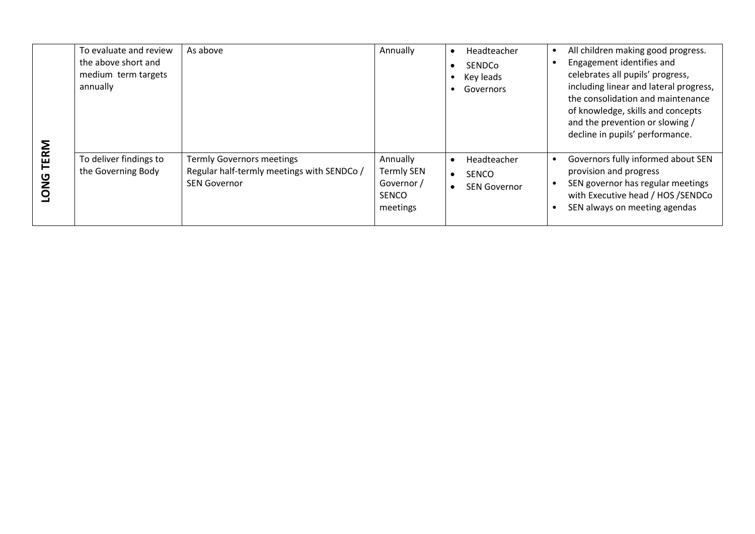|                            | To evaluate and review<br>the above short and<br>medium term targets<br>annually | As above                                                                                              | Annually                                                                | Headteacher<br><b>SENDCo</b><br>$\bullet$<br>Key leads<br>Governors          | All children making good progress.<br>$\bullet$<br>Engagement identifies and<br>celebrates all pupils' progress,<br>including linear and lateral progress,<br>the consolidation and maintenance<br>of knowledge, skills and concepts<br>and the prevention or slowing /<br>decline in pupils' performance. |
|----------------------------|----------------------------------------------------------------------------------|-------------------------------------------------------------------------------------------------------|-------------------------------------------------------------------------|------------------------------------------------------------------------------|------------------------------------------------------------------------------------------------------------------------------------------------------------------------------------------------------------------------------------------------------------------------------------------------------------|
| <b>TERM</b><br><b>LONG</b> | To deliver findings to<br>the Governing Body                                     | <b>Termly Governors meetings</b><br>Regular half-termly meetings with SENDCo /<br><b>SEN Governor</b> | Annually<br><b>Termly SEN</b><br>Governor /<br><b>SENCO</b><br>meetings | Headteacher<br>$\bullet$<br><b>SENCO</b><br>$\bullet$<br><b>SEN Governor</b> | Governors fully informed about SEN<br>$\bullet$<br>provision and progress<br>SEN governor has regular meetings<br>with Executive head / HOS / SENDCo<br>SEN always on meeting agendas                                                                                                                      |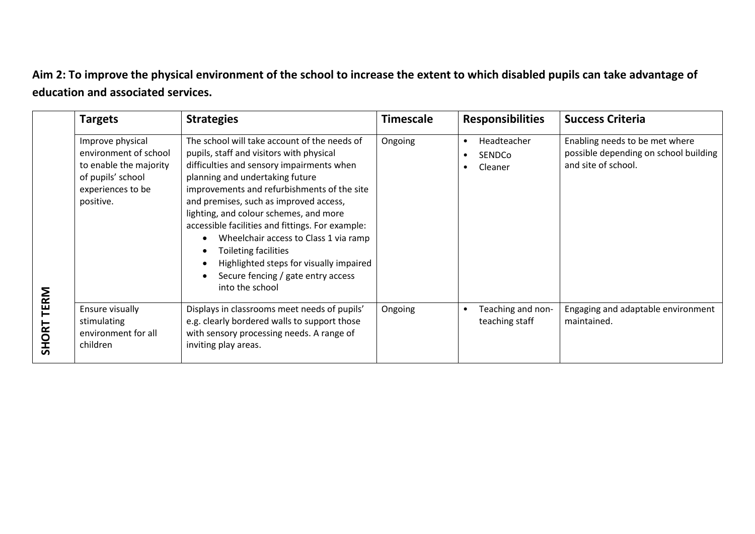## **Aim 2: To improve the physical environment of the school to increase the extent to which disabled pupils can take advantage of education and associated services.**

|                   | <b>Targets</b>                                                                                                             | <b>Strategies</b>                                                                                                                                                                                                                                                                                                                                                                                                                                                                                                                    | <b>Timescale</b> | <b>Responsibilities</b>                       | <b>Success Criteria</b>                                                                        |
|-------------------|----------------------------------------------------------------------------------------------------------------------------|--------------------------------------------------------------------------------------------------------------------------------------------------------------------------------------------------------------------------------------------------------------------------------------------------------------------------------------------------------------------------------------------------------------------------------------------------------------------------------------------------------------------------------------|------------------|-----------------------------------------------|------------------------------------------------------------------------------------------------|
|                   | Improve physical<br>environment of school<br>to enable the majority<br>of pupils' school<br>experiences to be<br>positive. | The school will take account of the needs of<br>pupils, staff and visitors with physical<br>difficulties and sensory impairments when<br>planning and undertaking future<br>improvements and refurbishments of the site<br>and premises, such as improved access,<br>lighting, and colour schemes, and more<br>accessible facilities and fittings. For example:<br>Wheelchair access to Class 1 via ramp<br>Toileting facilities<br>Highlighted steps for visually impaired<br>Secure fencing / gate entry access<br>into the school | Ongoing          | Headteacher<br>SENDCo<br>Cleaner<br>$\bullet$ | Enabling needs to be met where<br>possible depending on school building<br>and site of school. |
| <b>SHORT TERM</b> | Ensure visually<br>stimulating<br>environment for all<br>children                                                          | Displays in classrooms meet needs of pupils'<br>e.g. clearly bordered walls to support those<br>with sensory processing needs. A range of<br>inviting play areas.                                                                                                                                                                                                                                                                                                                                                                    | Ongoing          | Teaching and non-<br>teaching staff           | Engaging and adaptable environment<br>maintained.                                              |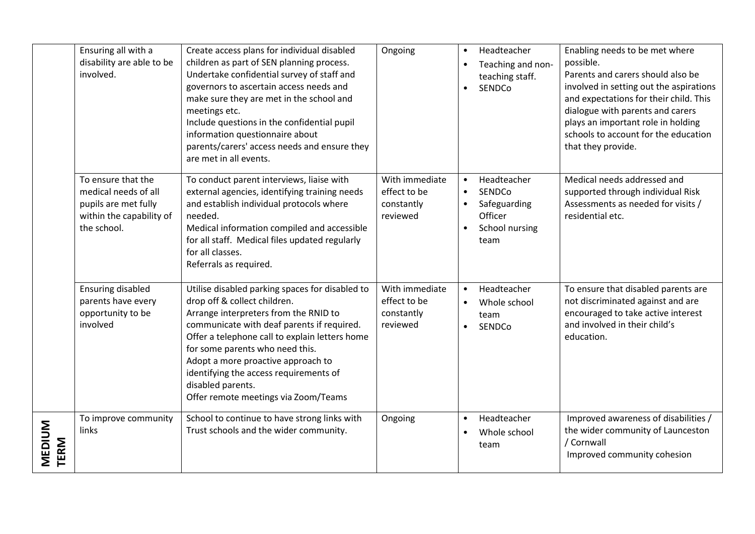|                       | Ensuring all with a<br>disability are able to be<br>involved.                                                 | Create access plans for individual disabled<br>children as part of SEN planning process.<br>Undertake confidential survey of staff and<br>governors to ascertain access needs and<br>make sure they are met in the school and<br>meetings etc.<br>Include questions in the confidential pupil<br>information questionnaire about<br>parents/carers' access needs and ensure they<br>are met in all events. | Ongoing                                                  | $\bullet$<br>$\bullet$<br>$\bullet$              | Headteacher<br>Teaching and non-<br>teaching staff.<br>SENDCo              | Enabling needs to be met where<br>possible.<br>Parents and carers should also be<br>involved in setting out the aspirations<br>and expectations for their child. This<br>dialogue with parents and carers<br>plays an important role in holding<br>schools to account for the education<br>that they provide. |
|-----------------------|---------------------------------------------------------------------------------------------------------------|------------------------------------------------------------------------------------------------------------------------------------------------------------------------------------------------------------------------------------------------------------------------------------------------------------------------------------------------------------------------------------------------------------|----------------------------------------------------------|--------------------------------------------------|----------------------------------------------------------------------------|---------------------------------------------------------------------------------------------------------------------------------------------------------------------------------------------------------------------------------------------------------------------------------------------------------------|
|                       | To ensure that the<br>medical needs of all<br>pupils are met fully<br>within the capability of<br>the school. | To conduct parent interviews, liaise with<br>external agencies, identifying training needs<br>and establish individual protocols where<br>needed.<br>Medical information compiled and accessible<br>for all staff. Medical files updated regularly<br>for all classes.<br>Referrals as required.                                                                                                           | With immediate<br>effect to be<br>constantly<br>reviewed | $\bullet$<br>$\bullet$<br>$\bullet$<br>$\bullet$ | Headteacher<br>SENDCo<br>Safeguarding<br>Officer<br>School nursing<br>team | Medical needs addressed and<br>supported through individual Risk<br>Assessments as needed for visits /<br>residential etc.                                                                                                                                                                                    |
|                       | <b>Ensuring disabled</b><br>parents have every<br>opportunity to be<br>involved                               | Utilise disabled parking spaces for disabled to<br>drop off & collect children.<br>Arrange interpreters from the RNID to<br>communicate with deaf parents if required.<br>Offer a telephone call to explain letters home<br>for some parents who need this.<br>Adopt a more proactive approach to<br>identifying the access requirements of<br>disabled parents.<br>Offer remote meetings via Zoom/Teams   | With immediate<br>effect to be<br>constantly<br>reviewed | $\bullet$<br>$\bullet$<br>$\bullet$              | Headteacher<br>Whole school<br>team<br>SENDCo                              | To ensure that disabled parents are<br>not discriminated against and are<br>encouraged to take active interest<br>and involved in their child's<br>education.                                                                                                                                                 |
| <b>MEDIUM</b><br>TERM | To improve community<br>links                                                                                 | School to continue to have strong links with<br>Trust schools and the wider community.                                                                                                                                                                                                                                                                                                                     | Ongoing                                                  | $\bullet$<br>$\bullet$                           | Headteacher<br>Whole school<br>team                                        | Improved awareness of disabilities /<br>the wider community of Launceston<br>/ Cornwall<br>Improved community cohesion                                                                                                                                                                                        |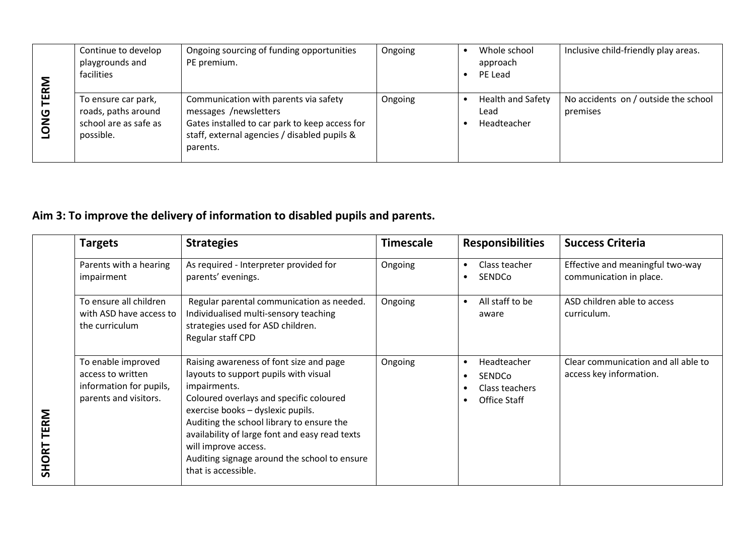| ิ≊ี                                  | Continue to develop<br>playgrounds and<br>facilities                             | Ongoing sourcing of funding opportunities<br>PE premium.                                                                                                                     | Ongoing | Whole school<br>approach<br>PE Lead             | Inclusive child-friendly play areas.             |
|--------------------------------------|----------------------------------------------------------------------------------|------------------------------------------------------------------------------------------------------------------------------------------------------------------------------|---------|-------------------------------------------------|--------------------------------------------------|
| 巴<br>$\frac{0}{2}$<br>$\overline{Q}$ | To ensure car park,<br>roads, paths around<br>school are as safe as<br>possible. | Communication with parents via safety<br>messages /newsletters<br>Gates installed to car park to keep access for<br>staff, external agencies / disabled pupils &<br>parents. | Ongoing | <b>Health and Safety</b><br>Lead<br>Headteacher | No accidents on / outside the school<br>premises |

## **Aim 3: To improve the delivery of information to disabled pupils and parents.**

|            | <b>Targets</b>                                                                              | <b>Strategies</b>                                                                                                                                                                                                                                                                                                                                                              | <b>Timescale</b> | <b>Responsibilities</b>                                                                       | <b>Success Criteria</b>                                        |
|------------|---------------------------------------------------------------------------------------------|--------------------------------------------------------------------------------------------------------------------------------------------------------------------------------------------------------------------------------------------------------------------------------------------------------------------------------------------------------------------------------|------------------|-----------------------------------------------------------------------------------------------|----------------------------------------------------------------|
|            | Parents with a hearing<br>impairment                                                        | As required - Interpreter provided for<br>parents' evenings.                                                                                                                                                                                                                                                                                                                   | Ongoing          | Class teacher<br>$\bullet$<br><b>SENDCo</b><br>$\bullet$                                      | Effective and meaningful two-way<br>communication in place.    |
|            | To ensure all children<br>with ASD have access to<br>the curriculum                         | Regular parental communication as needed.<br>Individualised multi-sensory teaching<br>strategies used for ASD children.<br>Regular staff CPD                                                                                                                                                                                                                                   | Ongoing          | All staff to be<br>$\bullet$<br>aware                                                         | ASD children able to access<br>curriculum.                     |
| SHORT TERM | To enable improved<br>access to written<br>information for pupils,<br>parents and visitors. | Raising awareness of font size and page<br>layouts to support pupils with visual<br>impairments.<br>Coloured overlays and specific coloured<br>exercise books - dyslexic pupils.<br>Auditing the school library to ensure the<br>availability of large font and easy read texts<br>will improve access.<br>Auditing signage around the school to ensure<br>that is accessible. | Ongoing          | Headteacher<br>$\bullet$<br><b>SENDCo</b><br>٠<br>Class teachers<br>Office Staff<br>$\bullet$ | Clear communication and all able to<br>access key information. |